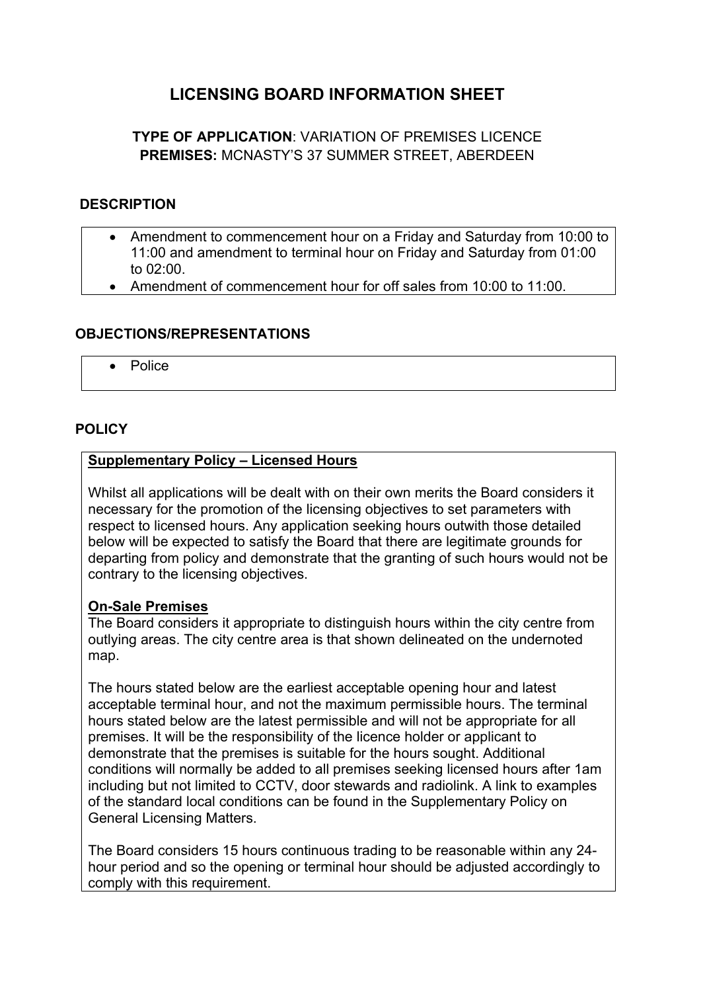# **LICENSING BOARD INFORMATION SHEET**

# **TYPE OF APPLICATION**: VARIATION OF PREMISES LICENCE **PREMISES:** MCNASTY'S 37 SUMMER STREET, ABERDEEN

## **DESCRIPTION**

- Amendment to commencement hour on a Friday and Saturday from 10:00 to 11:00 and amendment to terminal hour on Friday and Saturday from 01:00 to 02:00.
- Amendment of commencement hour for off sales from 10:00 to 11:00.

# **OBJECTIONS/REPRESENTATIONS**

• Police

### **POLICY**

### **Supplementary Policy – Licensed Hours**

Whilst all applications will be dealt with on their own merits the Board considers it necessary for the promotion of the licensing objectives to set parameters with respect to licensed hours. Any application seeking hours outwith those detailed below will be expected to satisfy the Board that there are legitimate grounds for departing from policy and demonstrate that the granting of such hours would not be contrary to the licensing objectives.

### **On-Sale Premises**

The Board considers it appropriate to distinguish hours within the city centre from outlying areas. The city centre area is that shown delineated on the undernoted map.

The hours stated below are the earliest acceptable opening hour and latest acceptable terminal hour, and not the maximum permissible hours. The terminal hours stated below are the latest permissible and will not be appropriate for all premises. It will be the responsibility of the licence holder or applicant to demonstrate that the premises is suitable for the hours sought. Additional conditions will normally be added to all premises seeking licensed hours after 1am including but not limited to CCTV, door stewards and radiolink. A link to examples of the standard local conditions can be found in the Supplementary Policy on General Licensing Matters.

The Board considers 15 hours continuous trading to be reasonable within any 24 hour period and so the opening or terminal hour should be adjusted accordingly to comply with this requirement.